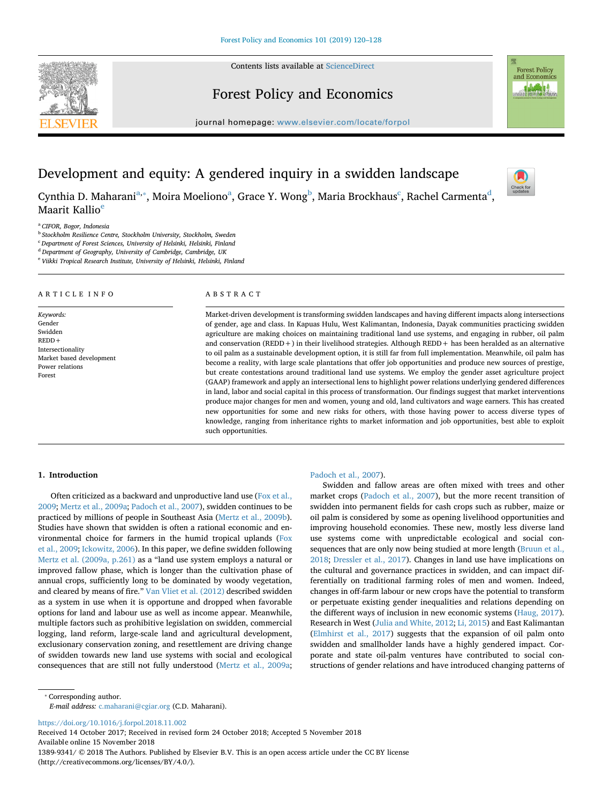Contents lists available at [ScienceDirect](http://www.sciencedirect.com/science/journal/13899341)



## Forest Policy and Economics



Check for<br>updates

journal homepage: [www.elsevier.com/locate/forpol](https://www.elsevier.com/locate/forpol)

# Development and equity: A gendered inquiry in a swidden landscape

Cynthi[a](#page-0-0) D. Maharani $^{\rm a, *},$  $^{\rm a, *},$  $^{\rm a, *},$  Moira Moeliono $^{\rm a}$ , Gra[c](#page-0-3)e Y. Wong $^{\rm b}$  $^{\rm b}$  $^{\rm b}$ , Maria Brockhaus $^{\rm c}$ , Rachel Carmenta $^{\rm d}$  $^{\rm d}$  $^{\rm d}$ , Maarit Kallio<sup>e</sup>

<span id="page-0-0"></span><sup>a</sup> *CIFOR, Bogor, Indonesia*

<span id="page-0-2"></span><sup>b</sup> *Stockholm Resilience Centre, Stockholm University, Stockholm, Sweden*

<span id="page-0-3"></span><sup>c</sup> *Department of Forest Sciences, University of Helsinki, Helsinki, Finland*

<span id="page-0-4"></span><sup>d</sup> *Department of Geography, University of Cambridge, Cambridge, UK*

<span id="page-0-5"></span><sup>e</sup> *Viikki Tropical Research Institute, University of Helsinki, Helsinki, Finland*

## ARTICLE INFO

*Keywords:* Gender Swidden REDD+ Intersectionality Market based development Power relations Forest

#### ABSTRACT

Market-driven development is transforming swidden landscapes and having different impacts along intersections of gender, age and class. In Kapuas Hulu, West Kalimantan, Indonesia, Dayak communities practicing swidden agriculture are making choices on maintaining traditional land use systems, and engaging in rubber, oil palm and conservation (REDD+) in their livelihood strategies. Although REDD+ has been heralded as an alternative to oil palm as a sustainable development option, it is still far from full implementation. Meanwhile, oil palm has become a reality, with large scale plantations that offer job opportunities and produce new sources of prestige, but create contestations around traditional land use systems. We employ the gender asset agriculture project (GAAP) framework and apply an intersectional lens to highlight power relations underlying gendered differences in land, labor and social capital in this process of transformation. Our findings suggest that market interventions produce major changes for men and women, young and old, land cultivators and wage earners. This has created new opportunities for some and new risks for others, with those having power to access diverse types of knowledge, ranging from inheritance rights to market information and job opportunities, best able to exploit such opportunities.

## **1. Introduction**

Often criticized as a backward and unproductive land use ([Fox et al.,](#page-7-0) [2009;](#page-7-0) [Mertz et al., 2009a;](#page-8-0) [Padoch et al., 2007](#page-8-1)), swidden continues to be practiced by millions of people in Southeast Asia ([Mertz et al., 2009b](#page-8-2)). Studies have shown that swidden is often a rational economic and environmental choice for farmers in the humid tropical uplands ([Fox](#page-7-0) [et al., 2009;](#page-7-0) [Ickowitz, 2006](#page-8-3)). In this paper, we define swidden following [Mertz et al. \(2009a, p.261\)](#page-8-0) as a "land use system employs a natural or improved fallow phase, which is longer than the cultivation phase of annual crops, sufficiently long to be dominated by woody vegetation, and cleared by means of fire." [Van Vliet et al. \(2012\)](#page-8-4) described swidden as a system in use when it is opportune and dropped when favorable options for land and labour use as well as income appear. Meanwhile, multiple factors such as prohibitive legislation on swidden, commercial logging, land reform, large-scale land and agricultural development, exclusionary conservation zoning, and resettlement are driving change of swidden towards new land use systems with social and ecological consequences that are still not fully understood ([Mertz et al., 2009a](#page-8-0);

#### [Padoch et al., 2007\)](#page-8-1).

Swidden and fallow areas are often mixed with trees and other market crops [\(Padoch et al., 2007\)](#page-8-1), but the more recent transition of swidden into permanent fields for cash crops such as rubber, maize or oil palm is considered by some as opening livelihood opportunities and improving household economies. These new, mostly less diverse land use systems come with unpredictable ecological and social consequences that are only now being studied at more length [\(Bruun et al.,](#page-7-1) [2018;](#page-7-1) [Dressler et al., 2017](#page-7-2)). Changes in land use have implications on the cultural and governance practices in swidden, and can impact differentially on traditional farming roles of men and women. Indeed, changes in off-farm labour or new crops have the potential to transform or perpetuate existing gender inequalities and relations depending on the different ways of inclusion in new economic systems [\(Haug, 2017](#page-8-5)). Research in West ([Julia and White, 2012](#page-8-6); [Li, 2015\)](#page-8-7) and East Kalimantan ([Elmhirst et al., 2017\)](#page-7-3) suggests that the expansion of oil palm onto swidden and smallholder lands have a highly gendered impact. Corporate and state oil-palm ventures have contributed to social constructions of gender relations and have introduced changing patterns of

<span id="page-0-1"></span>⁎ Corresponding author.

*E-mail address:* [c.maharani@cgiar.org](mailto:c.maharani@cgiar.org) (C.D. Maharani).

<https://doi.org/10.1016/j.forpol.2018.11.002>

Received 14 October 2017; Received in revised form 24 October 2018; Accepted 5 November 2018 Available online 15 November 2018 1389-9341/ © 2018 The Authors. Published by Elsevier B.V. This is an open access article under the CC BY license (http://creativecommons.org/licenses/BY/4.0/).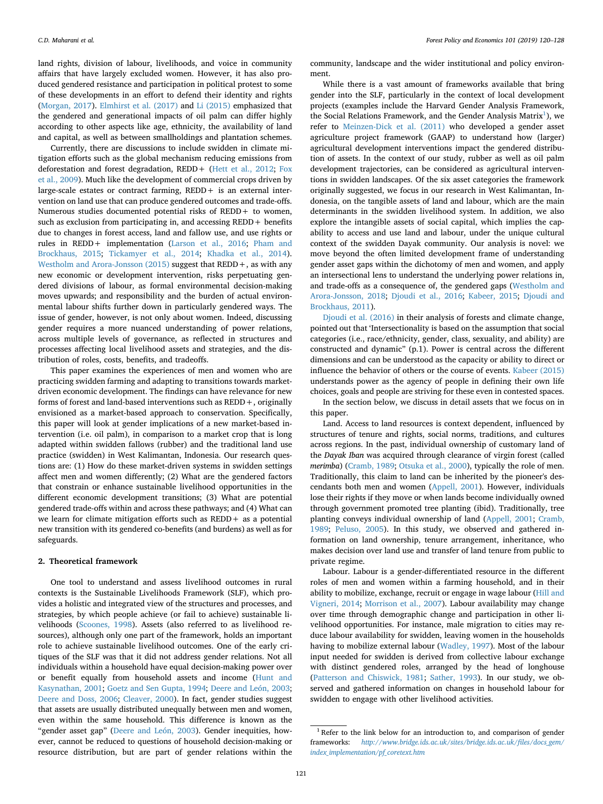land rights, division of labour, livelihoods, and voice in community affairs that have largely excluded women. However, it has also produced gendered resistance and participation in political protest to some of these developments in an effort to defend their identity and rights ([Morgan, 2017\)](#page-8-8). [Elmhirst et al. \(2017\)](#page-7-3) and [Li \(2015\)](#page-8-7) emphasized that the gendered and generational impacts of oil palm can differ highly according to other aspects like age, ethnicity, the availability of land and capital, as well as between smallholdings and plantation schemes.

Currently, there are discussions to include swidden in climate mitigation efforts such as the global mechanism reducing emissions from deforestation and forest degradation, REDD+ ([Hett et al., 2012](#page-8-9); [Fox](#page-7-0) [et al., 2009](#page-7-0)). Much like the development of commercial crops driven by large-scale estates or contract farming, REDD+ is an external intervention on land use that can produce gendered outcomes and trade-offs. Numerous studies documented potential risks of REDD+ to women, such as exclusion from participating in, and accessing REDD + benefits due to changes in forest access, land and fallow use, and use rights or rules in REDD+ implementation [\(Larson et al., 2016](#page-8-10); [Pham and](#page-8-11) [Brockhaus, 2015;](#page-8-11) [Tickamyer et al., 2014](#page-8-12); [Khadka et al., 2014](#page-8-13)). [Westholm and Arora-Jonsson \(2015\)](#page-8-14) suggest that REDD +, as with any new economic or development intervention, risks perpetuating gendered divisions of labour, as formal environmental decision-making moves upwards; and responsibility and the burden of actual environmental labour shifts further down in particularly gendered ways. The issue of gender, however, is not only about women. Indeed, discussing gender requires a more nuanced understanding of power relations, across multiple levels of governance, as reflected in structures and processes affecting local livelihood assets and strategies, and the distribution of roles, costs, benefits, and tradeoffs.

This paper examines the experiences of men and women who are practicing swidden farming and adapting to transitions towards marketdriven economic development. The findings can have relevance for new forms of forest and land-based interventions such as REDD+, originally envisioned as a market-based approach to conservation. Specifically, this paper will look at gender implications of a new market-based intervention (i.e. oil palm), in comparison to a market crop that is long adapted within swidden fallows (rubber) and the traditional land use practice (swidden) in West Kalimantan, Indonesia. Our research questions are: (1) How do these market-driven systems in swidden settings affect men and women differently; (2) What are the gendered factors that constrain or enhance sustainable livelihood opportunities in the different economic development transitions; (3) What are potential gendered trade-offs within and across these pathways; and (4) What can we learn for climate mitigation efforts such as  $REDD +$  as a potential new transition with its gendered co-benefits (and burdens) as well as for safeguards.

## **2. Theoretical framework**

One tool to understand and assess livelihood outcomes in rural contexts is the Sustainable Livelihoods Framework (SLF), which provides a holistic and integrated view of the structures and processes, and strategies, by which people achieve (or fail to achieve) sustainable livelihoods [\(Scoones, 1998](#page-8-15)). Assets (also referred to as livelihood resources), although only one part of the framework, holds an important role to achieve sustainable livelihood outcomes. One of the early critiques of the SLF was that it did not address gender relations. Not all individuals within a household have equal decision-making power over or benefit equally from household assets and income ([Hunt and](#page-8-16) [Kasynathan, 2001](#page-8-16); [Goetz and Sen Gupta, 1994](#page-8-17); [Deere and León, 2003](#page-7-4); [Deere and Doss, 2006;](#page-7-5) [Cleaver, 2000](#page-7-6)). In fact, gender studies suggest that assets are usually distributed unequally between men and women, even within the same household. This difference is known as the "gender asset gap" [\(Deere and León, 2003](#page-7-4)). Gender inequities, however, cannot be reduced to questions of household decision-making or resource distribution, but are part of gender relations within the

community, landscape and the wider institutional and policy environment.

While there is a vast amount of frameworks available that bring gender into the SLF, particularly in the context of local development projects (examples include the Harvard Gender Analysis Framework, the Social Relations Framework, and the Gender Analysis Matrix<sup>1</sup>), we refer to [Meinzen-Dick et al. \(2011\)](#page-8-18) who developed a gender asset agriculture project framework (GAAP) to understand how (larger) agricultural development interventions impact the gendered distribution of assets. In the context of our study, rubber as well as oil palm development trajectories, can be considered as agricultural interventions in swidden landscapes. Of the six asset categories the framework originally suggested, we focus in our research in West Kalimantan, Indonesia, on the tangible assets of land and labour, which are the main determinants in the swidden livelihood system. In addition, we also explore the intangible assets of social capital, which implies the capability to access and use land and labour, under the unique cultural context of the swidden Dayak community. Our analysis is novel: we move beyond the often limited development frame of understanding gender asset gaps within the dichotomy of men and women, and apply an intersectional lens to understand the underlying power relations in, and trade-offs as a consequence of, the gendered gaps [\(Westholm and](#page-8-19) [Arora-Jonsson, 2018;](#page-8-19) [Djoudi et al., 2016](#page-7-7); [Kabeer, 2015](#page-8-20); [Djoudi and](#page-7-8) [Brockhaus, 2011](#page-7-8)).

[Djoudi et al. \(2016\)](#page-7-7) in their analysis of forests and climate change, pointed out that 'Intersectionality is based on the assumption that social categories (i.e., race/ethnicity, gender, class, sexuality, and ability) are constructed and dynamic" (p.1). Power is central across the different dimensions and can be understood as the capacity or ability to direct or influence the behavior of others or the course of events. [Kabeer \(2015\)](#page-8-20) understands power as the agency of people in defining their own life choices, goals and people are striving for these even in contested spaces.

In the section below, we discuss in detail assets that we focus on in this paper.

Land. Access to land resources is context dependent, influenced by structures of tenure and rights, social norms, traditions, and cultures across regions. In the past, individual ownership of customary land of the *Dayak Iban* was acquired through clearance of virgin forest (called *merimba*) ([Cramb, 1989;](#page-7-9) [Otsuka et al., 2000](#page-8-21)), typically the role of men. Traditionally, this claim to land can be inherited by the pioneer's descendants both men and women ([Appell, 2001](#page-7-10)). However, individuals lose their rights if they move or when lands become individually owned through government promoted tree planting (ibid). Traditionally, tree planting conveys individual ownership of land ([Appell, 2001;](#page-7-10) [Cramb,](#page-7-9) [1989;](#page-7-9) [Peluso, 2005](#page-8-22)). In this study, we observed and gathered information on land ownership, tenure arrangement, inheritance, who makes decision over land use and transfer of land tenure from public to private regime.

Labour. Labour is a gender-differentiated resource in the different roles of men and women within a farming household, and in their ability to mobilize, exchange, recruit or engage in wage labour ([Hill and](#page-8-23) [Vigneri, 2014;](#page-8-23) [Morrison et al., 2007\)](#page-8-24). Labour availability may change over time through demographic change and participation in other livelihood opportunities. For instance, male migration to cities may reduce labour availability for swidden, leaving women in the households having to mobilize external labour ([Wadley, 1997](#page-8-25)). Most of the labour input needed for swidden is derived from collective labour exchange with distinct gendered roles, arranged by the head of longhouse ([Patterson and Chiswick, 1981](#page-8-26); [Sather, 1993\)](#page-8-27). In our study, we observed and gathered information on changes in household labour for swidden to engage with other livelihood activities.

<span id="page-1-0"></span><sup>&</sup>lt;sup>1</sup> Refer to the link below for an introduction to, and comparison of gender frameworks: *[http://www.bridge.ids.ac.uk/sites/bridge.ids.ac.uk/files/docs\\_gem/](http://www.bridge.ids.ac.uk/sites/bridge.ids.ac.uk/files/docs_gem/index_implementation/pf_coretext.htm) [index\\_implementation/pf\\_coretext.htm](http://www.bridge.ids.ac.uk/sites/bridge.ids.ac.uk/files/docs_gem/index_implementation/pf_coretext.htm)*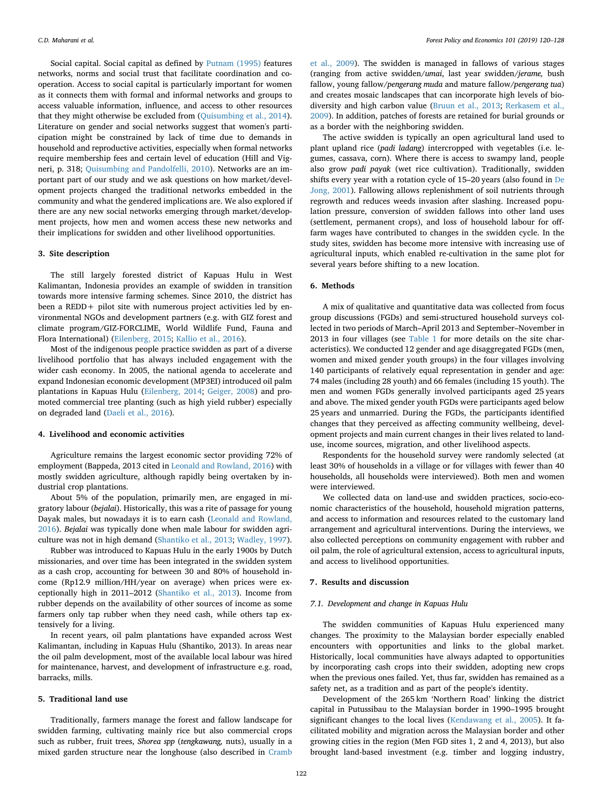Social capital. Social capital as defined by [Putnam \(1995\)](#page-8-28) features networks, norms and social trust that facilitate coordination and cooperation. Access to social capital is particularly important for women as it connects them with formal and informal networks and groups to access valuable information, influence, and access to other resources that they might otherwise be excluded from [\(Quisumbing et al., 2014](#page-8-29)). Literature on gender and social networks suggest that women's participation might be constrained by lack of time due to demands in household and reproductive activities, especially when formal networks require membership fees and certain level of education (Hill and Vigneri, p. 318; [Quisumbing and Pandolfelli, 2010](#page-8-30)). Networks are an important part of our study and we ask questions on how market/development projects changed the traditional networks embedded in the community and what the gendered implications are. We also explored if there are any new social networks emerging through market/development projects, how men and women access these new networks and their implications for swidden and other livelihood opportunities.

#### **3. Site description**

The still largely forested district of Kapuas Hulu in West Kalimantan, Indonesia provides an example of swidden in transition towards more intensive farming schemes. Since 2010, the district has been a REDD+ pilot site with numerous project activities led by environmental NGOs and development partners (e.g. with GIZ forest and climate program/GIZ-FORCLIME, World Wildlife Fund, Fauna and Flora International) ([Eilenberg, 2015](#page-7-11); [Kallio et al., 2016](#page-8-31)).

Most of the indigenous people practice swidden as part of a diverse livelihood portfolio that has always included engagement with the wider cash economy. In 2005, the national agenda to accelerate and expand Indonesian economic development (MP3EI) introduced oil palm plantations in Kapuas Hulu ([Eilenberg, 2014;](#page-7-12) [Geiger, 2008\)](#page-7-13) and promoted commercial tree planting (such as high yield rubber) especially on degraded land ([Daeli et al., 2016](#page-7-14)).

## **4. Livelihood and economic activities**

Agriculture remains the largest economic sector providing 72% of employment (Bappeda, 2013 cited in [Leonald and Rowland, 2016\)](#page-8-32) with mostly swidden agriculture, although rapidly being overtaken by industrial crop plantations.

About 5% of the population, primarily men, are engaged in migratory labour (*bejalai*). Historically, this was a rite of passage for young Dayak males, but nowadays it is to earn cash [\(Leonald and Rowland,](#page-8-32) [2016\)](#page-8-32). *Bejalai* was typically done when male labour for swidden agriculture was not in high demand [\(Shantiko et al., 2013;](#page-8-33) [Wadley, 1997](#page-8-25)).

Rubber was introduced to Kapuas Hulu in the early 1900s by Dutch missionaries, and over time has been integrated in the swidden system as a cash crop, accounting for between 30 and 80% of household income (Rp12.9 million/HH/year on average) when prices were exceptionally high in 2011–2012 [\(Shantiko et al., 2013\)](#page-8-33). Income from rubber depends on the availability of other sources of income as some farmers only tap rubber when they need cash, while others tap extensively for a living.

In recent years, oil palm plantations have expanded across West Kalimantan, including in Kapuas Hulu (Shantiko, 2013). In areas near the oil palm development, most of the available local labour was hired for maintenance, harvest, and development of infrastructure e.g. road, barracks, mills.

#### **5. Traditional land use**

Traditionally, farmers manage the forest and fallow landscape for swidden farming, cultivating mainly rice but also commercial crops such as rubber, fruit trees, *Shorea spp* (*tengkawang,* nuts), usually in a mixed garden structure near the longhouse (also described in [Cramb](#page-7-15)

[et al., 2009](#page-7-15)). The swidden is managed in fallows of various stages (ranging from active swidden/*umai*, last year swidden/*jerame,* bush fallow, young fallow/*pengerang muda* and mature fallow/*pengerang tua*) and creates mosaic landscapes that can incorporate high levels of biodiversity and high carbon value ([Bruun et al., 2013](#page-7-16); [Rerkasem et al.,](#page-8-34) [2009\)](#page-8-34). In addition, patches of forests are retained for burial grounds or as a border with the neighboring swidden.

The active swidden is typically an open agricultural land used to plant upland rice (*padi ladang*) intercropped with vegetables (i.e. legumes, cassava, corn). Where there is access to swampy land, people also grow *padi payak* (wet rice cultivation). Traditionally, swidden shifts every year with a rotation cycle of 15–20 years (also found in [De](#page-7-17) [Jong, 2001](#page-7-17)). Fallowing allows replenishment of soil nutrients through regrowth and reduces weeds invasion after slashing. Increased population pressure, conversion of swidden fallows into other land uses (settlement, permanent crops), and loss of household labour for offfarm wages have contributed to changes in the swidden cycle. In the study sites, swidden has become more intensive with increasing use of agricultural inputs, which enabled re-cultivation in the same plot for several years before shifting to a new location.

## **6. Methods**

A mix of qualitative and quantitative data was collected from focus group discussions (FGDs) and semi-structured household surveys collected in two periods of March–April 2013 and September–November in 2013 in four villages (see [Table 1](#page-3-0) for more details on the site characteristics). We conducted 12 gender and age disaggregated FGDs (men, women and mixed gender youth groups) in the four villages involving 140 participants of relatively equal representation in gender and age: 74 males (including 28 youth) and 66 females (including 15 youth). The men and women FGDs generally involved participants aged 25 years and above. The mixed gender youth FGDs were participants aged below 25 years and unmarried. During the FGDs, the participants identified changes that they perceived as affecting community wellbeing, development projects and main current changes in their lives related to landuse, income sources, migration, and other livelihood aspects.

Respondents for the household survey were randomly selected (at least 30% of households in a village or for villages with fewer than 40 households, all households were interviewed). Both men and women were interviewed.

We collected data on land-use and swidden practices, socio-economic characteristics of the household, household migration patterns, and access to information and resources related to the customary land arrangement and agricultural interventions. During the interviews, we also collected perceptions on community engagement with rubber and oil palm, the role of agricultural extension, access to agricultural inputs, and access to livelihood opportunities.

## **7. Results and discussion**

## *7.1. Development and change in Kapuas Hulu*

The swidden communities of Kapuas Hulu experienced many changes. The proximity to the Malaysian border especially enabled encounters with opportunities and links to the global market. Historically, local communities have always adapted to opportunities by incorporating cash crops into their swidden, adopting new crops when the previous ones failed. Yet, thus far, swidden has remained as a safety net, as a tradition and as part of the people's identity.

Development of the 265 km 'Northern Road' linking the district capital in Putussibau to the Malaysian border in 1990–1995 brought significant changes to the local lives [\(Kendawang et al., 2005](#page-8-35)). It facilitated mobility and migration across the Malaysian border and other growing cities in the region (Men FGD sites 1, 2 and 4, 2013), but also brought land-based investment (e.g. timber and logging industry,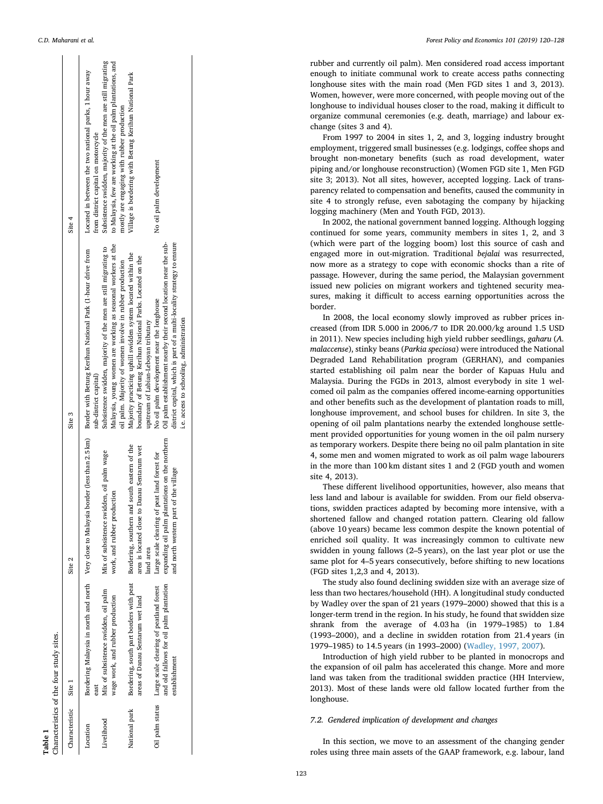<span id="page-3-0"></span>

| Table 1               | Characteristics of the four study sites.                                                            |                                                                                                                                                  |                                                                                                                                                                                                                                       |                                                                                                                                                                             |
|-----------------------|-----------------------------------------------------------------------------------------------------|--------------------------------------------------------------------------------------------------------------------------------------------------|---------------------------------------------------------------------------------------------------------------------------------------------------------------------------------------------------------------------------------------|-----------------------------------------------------------------------------------------------------------------------------------------------------------------------------|
| Characteristic Site 1 |                                                                                                     | Site 2                                                                                                                                           | Site 3                                                                                                                                                                                                                                | Site 4                                                                                                                                                                      |
| Location              | east                                                                                                |                                                                                                                                                  | Bordering Malaysia in north and north Very close to Malaysia border (less than 2.5 km) Border with Betung Kerihun National Park (1-hour drive from<br>sub-district capital)                                                           | Located in between the two national parks, 1 hour away<br>from district capital on motorcycle                                                                               |
| Livelihood            | Mix of subsistence swidden, oil palm<br>wage work, and rubber production                            | Mix of subsistence swidden, oil palm wage<br>work, and rubber production                                                                         | Malaysia, young women are working as seasonal workers at the<br>Subsistence swidden, majority of the men are still migrating to<br>oil palm. Majority of women involve in rubber production                                           | Subsistence swidden, majority of the men are still migrating<br>to Malaysia, few are working at the oil palm plantations, and<br>mostly are engaging with rubber production |
| National park         | areas of Danau Sentarum wet land                                                                    | Bordering, south part borders with peat Bordering, southern and south eastern of the<br>area is located close to Danau Sentarum wet<br>land area | Majority practicing uphill swidden system located within the<br>boundary of Betung Kerihun National Parks. Located on the<br>upstream of Labian-Leboyan tributary                                                                     | Village is bordering with Betung Kerihun National Park                                                                                                                      |
| Oil palm status       | and old fallows for oil palm plantation<br>Large scale clearing of peatland forest<br>establishment | expanding oil palm plantations on the northern<br>Large scale clearing of peat land forest for<br>and north western part of the village          | district capital, which is part of a multi-locality strategy to ensure<br>Oil palm establishment nearby their second location near the sub-<br>No oil palm development near the longhouse<br>i.e. access to schooling, administration | No oil palm development                                                                                                                                                     |

rubber and currently oil palm). Men considered road access important enough to initiate communal work to create access paths connecting longhouse sites with the main road (Men FGD sites 1 and 3, 2013). Women, however, were more concerned, with people moving out of the longhouse to individual houses closer to the road, making it difficult to organize communal ceremonies (e.g. death, marriage) and labour exchange (sites 3 and 4).

From 1997 to 2004 in sites 1, 2, and 3, logging industry brought employment, triggered small businesses (e.g. lodgings, coffee shops and brought non-monetary benefits (such as road development, water piping and/or longhouse reconstruction) (Women FGD site 1, Men FGD site 3; 2013). Not all sites, however, accepted logging. Lack of transparency related to compensation and benefits, caused the community in site 4 to strongly refuse, even sabotaging the company by hijacking logging machinery (Men and Youth FGD, 2013).

In 2002, the national government banned logging. Although logging continued for some years, community members in sites 1, 2, and 3 (which were part of the logging boom) lost this source of cash and engaged more in out-migration. Traditional *bejalai* was resurrected, now more as a strategy to cope with economic shocks than a rite of passage. However, during the same period, the Malaysian government issued new policies on migrant workers and tightened security measures, making it difficult to access earning opportunities across the border.

In 2008, the local economy slowly improved as rubber prices increased (from IDR 5.000 in 2006/7 to IDR 20.000/kg around 1.5 USD in 2011). New species including high yield rubber seedlings, *gaharu* (*A. malaccense*), stinky beans (*Parkia speciosa*) were introduced the National Degraded Land Rehabilitation program (GERHAN), and companies started establishing oil palm near the border of Kapuas Hulu and Malaysia. During the FGDs in 2013, almost everybody in site 1 welcomed oil palm as the companies offered income-earning opportunities and other benefits such as the development of plantation roads to mill, longhouse improvement, and school buses for children. In site 3, the opening of oil palm plantations nearby the extended longhouse settlement provided opportunities for young women in the oil palm nursery as temporary workers. Despite there being no oil palm plantation in site 4, some men and women migrated to work as oil palm wage labourers in the more than 100 km distant sites 1 and 2 (FGD youth and women site 4, 2013).

These different livelihood opportunities, however, also means that less land and labour is available for swidden. From our field observations, swidden practices adapted by becoming more intensive, with a shortened fallow and changed rotation pattern. Clearing old fallow (above 10 years) became less common despite the known potential of enriched soil quality. It was increasingly common to cultivate new swidden in young fallows (2–5 years), on the last year plot or use the same plot for 4–5 years consecutively, before shifting to new locations (FGD sites 1,2,3 and 4, 2013).

The study also found declining swidden size with an average size of less than two hectares/household (HH). A longitudinal study conducted by Wadley over the span of 21 years (1979–2000) showed that this is a longer-term trend in the region. In his study, he found that swidden size shrank from the average of 4.03 ha (in 1979–1985) to 1.84 (1993–2000), and a decline in swidden rotation from 21.4 years (in 1979–1985) to 14.5 years (in 1993–2000) [\(Wadley, 1997, 2007](#page-8-25)).

Introduction of high yield rubber to be planted in monocrops and the expansion of oil palm has accelerated this change. More and more land was taken from the traditional swidden practice (HH Interview, 2013). Most of these lands were old fallow located further from the longhouse.

## *7.2. Gendered implication of development and changes*

In this section, we move to an assessment of the changing gender roles using three main assets of the GAAP framework, e.g. labour, land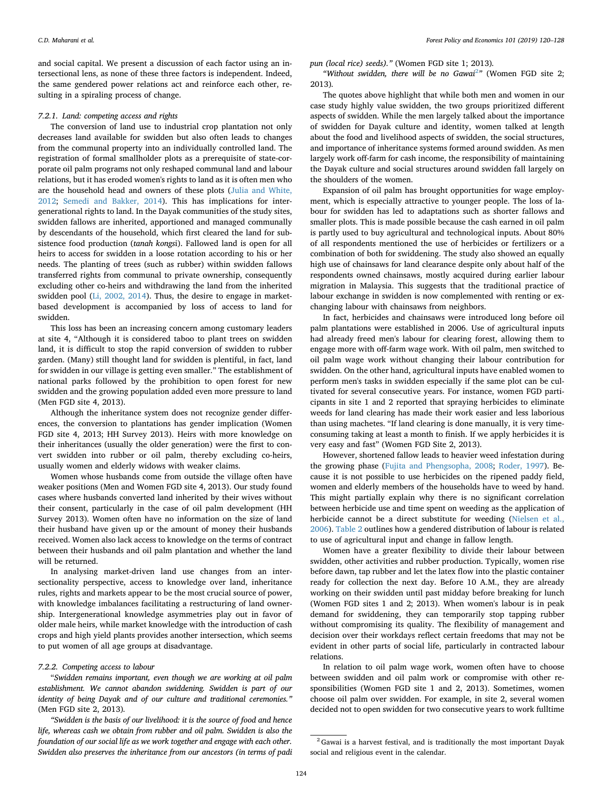and social capital. We present a discussion of each factor using an intersectional lens, as none of these three factors is independent. Indeed, the same gendered power relations act and reinforce each other, resulting in a spiraling process of change.

#### *7.2.1. Land: competing access and rights*

The conversion of land use to industrial crop plantation not only decreases land available for swidden but also often leads to changes from the communal property into an individually controlled land. The registration of formal smallholder plots as a prerequisite of state-corporate oil palm programs not only reshaped communal land and labour relations, but it has eroded women's rights to land as it is often men who are the household head and owners of these plots [\(Julia and White,](#page-8-6) [2012;](#page-8-6) [Semedi and Bakker, 2014](#page-8-36)). This has implications for intergenerational rights to land. In the Dayak communities of the study sites, swidden fallows are inherited, apportioned and managed communally by descendants of the household, which first cleared the land for subsistence food production (*tanah kongs*i). Fallowed land is open for all heirs to access for swidden in a loose rotation according to his or her needs. The planting of trees (such as rubber) within swidden fallows transferred rights from communal to private ownership, consequently excluding other co-heirs and withdrawing the land from the inherited swidden pool [\(Li, 2002, 2014\)](#page-8-37). Thus, the desire to engage in marketbased development is accompanied by loss of access to land for swidden.

This loss has been an increasing concern among customary leaders at site 4, "Although it is considered taboo to plant trees on swidden land, it is difficult to stop the rapid conversion of swidden to rubber garden. (Many) still thought land for swidden is plentiful, in fact, land for swidden in our village is getting even smaller." The establishment of national parks followed by the prohibition to open forest for new swidden and the growing population added even more pressure to land (Men FGD site 4, 2013).

Although the inheritance system does not recognize gender differences, the conversion to plantations has gender implication (Women FGD site 4, 2013; HH Survey 2013). Heirs with more knowledge on their inheritances (usually the older generation) were the first to convert swidden into rubber or oil palm, thereby excluding co-heirs, usually women and elderly widows with weaker claims.

Women whose husbands come from outside the village often have weaker positions (Men and Women FGD site 4, 2013). Our study found cases where husbands converted land inherited by their wives without their consent, particularly in the case of oil palm development (HH Survey 2013). Women often have no information on the size of land their husband have given up or the amount of money their husbands received. Women also lack access to knowledge on the terms of contract between their husbands and oil palm plantation and whether the land will be returned.

In analysing market-driven land use changes from an intersectionality perspective, access to knowledge over land, inheritance rules, rights and markets appear to be the most crucial source of power, with knowledge imbalances facilitating a restructuring of land ownership. Intergenerational knowledge asymmetries play out in favor of older male heirs, while market knowledge with the introduction of cash crops and high yield plants provides another intersection, which seems to put women of all age groups at disadvantage.

## *7.2.2. Competing access to labour*

"*Swidden remains important, even though we are working at oil palm establishment. We cannot abandon swiddening. Swidden is part of our identity of being Dayak and of our culture and traditional ceremonies."* (Men FGD site 2, 2013)*.*

*"Swidden is the basis of our livelihood: it is the source of food and hence life, whereas cash we obtain from rubber and oil palm. Swidden is also the foundation of our social life as we work together and engage with each other. Swidden also preserves the inheritance from our ancestors (in terms of padi* *pun (local rice) seeds)."* (Women FGD site 1; 2013)*.*

"Without swidden, there will be no Gawai<sup>[2](#page-4-0)</sup>" (Women FGD site 2; 2013)*.*

The quotes above highlight that while both men and women in our case study highly value swidden, the two groups prioritized different aspects of swidden. While the men largely talked about the importance of swidden for Dayak culture and identity, women talked at length about the food and livelihood aspects of swidden, the social structures, and importance of inheritance systems formed around swidden. As men largely work off-farm for cash income, the responsibility of maintaining the Dayak culture and social structures around swidden fall largely on the shoulders of the women.

Expansion of oil palm has brought opportunities for wage employment, which is especially attractive to younger people. The loss of labour for swidden has led to adaptations such as shorter fallows and smaller plots. This is made possible because the cash earned in oil palm is partly used to buy agricultural and technological inputs. About 80% of all respondents mentioned the use of herbicides or fertilizers or a combination of both for swiddening. The study also showed an equally high use of chainsaws for land clearance despite only about half of the respondents owned chainsaws, mostly acquired during earlier labour migration in Malaysia. This suggests that the traditional practice of labour exchange in swidden is now complemented with renting or exchanging labour with chainsaws from neighbors.

In fact, herbicides and chainsaws were introduced long before oil palm plantations were established in 2006. Use of agricultural inputs had already freed men's labour for clearing forest, allowing them to engage more with off-farm wage work. With oil palm, men switched to oil palm wage work without changing their labour contribution for swidden. On the other hand, agricultural inputs have enabled women to perform men's tasks in swidden especially if the same plot can be cultivated for several consecutive years. For instance, women FGD participants in site 1 and 2 reported that spraying herbicides to eliminate weeds for land clearing has made their work easier and less laborious than using machetes. "If land clearing is done manually, it is very timeconsuming taking at least a month to finish. If we apply herbicides it is very easy and fast" (Women FGD Site 2, 2013).

However, shortened fallow leads to heavier weed infestation during the growing phase ([Fujita and Phengsopha, 2008](#page-7-18); [Roder, 1997\)](#page-8-38). Because it is not possible to use herbicides on the ripened paddy field, women and elderly members of the households have to weed by hand. This might partially explain why there is no significant correlation between herbicide use and time spent on weeding as the application of herbicide cannot be a direct substitute for weeding ([Nielsen et al.,](#page-8-39) [2006\)](#page-8-39). [Table 2](#page-5-0) outlines how a gendered distribution of labour is related to use of agricultural input and change in fallow length.

Women have a greater flexibility to divide their labour between swidden, other activities and rubber production. Typically, women rise before dawn, tap rubber and let the latex flow into the plastic container ready for collection the next day. Before 10 A.M., they are already working on their swidden until past midday before breaking for lunch (Women FGD sites 1 and 2; 2013). When women's labour is in peak demand for swiddening, they can temporarily stop tapping rubber without compromising its quality. The flexibility of management and decision over their workdays reflect certain freedoms that may not be evident in other parts of social life, particularly in contracted labour relations.

In relation to oil palm wage work, women often have to choose between swidden and oil palm work or compromise with other responsibilities (Women FGD site 1 and 2, 2013). Sometimes, women choose oil palm over swidden. For example, in site 2, several women decided not to open swidden for two consecutive years to work fulltime

<span id="page-4-0"></span> $2$  Gawai is a harvest festival, and is traditionally the most important Dayak social and religious event in the calendar.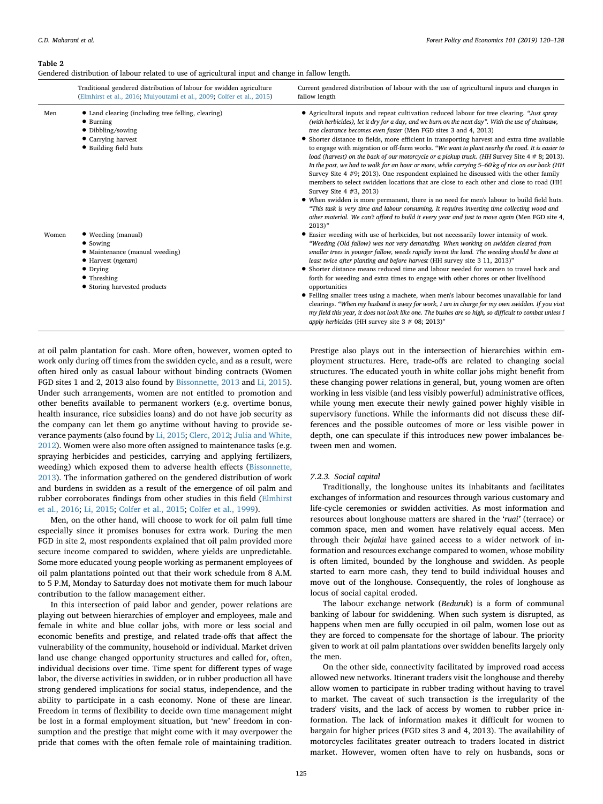#### <span id="page-5-0"></span>**Table 2**

Gendered distribution of labour related to use of agricultural input and change in fallow length.

|       | Traditional gendered distribution of labour for swidden agriculture<br>(Elmhirst et al., 2016; Mulyoutami et al., 2009; Colfer et al., 2015)                      | Current gendered distribution of labour with the use of agricultural inputs and changes in<br>fallow length                                                                                                                                                                                                                                                                                                                                                                                                                                                                                                                                                                                                                                                                                                                                                                                                                                                                                                                                                                                                                                                                                                 |
|-------|-------------------------------------------------------------------------------------------------------------------------------------------------------------------|-------------------------------------------------------------------------------------------------------------------------------------------------------------------------------------------------------------------------------------------------------------------------------------------------------------------------------------------------------------------------------------------------------------------------------------------------------------------------------------------------------------------------------------------------------------------------------------------------------------------------------------------------------------------------------------------------------------------------------------------------------------------------------------------------------------------------------------------------------------------------------------------------------------------------------------------------------------------------------------------------------------------------------------------------------------------------------------------------------------------------------------------------------------------------------------------------------------|
| Men   | • Land clearing (including tree felling, clearing)<br>$\bullet$ Burning<br>• Dibbling/sowing<br>• Carrying harvest<br>• Building field huts                       | • Agricultural inputs and repeat cultivation reduced labour for tree clearing. "Just spray<br>(with herbicides), let it dry for a day, and we burn on the next day". With the use of chainsaw,<br>tree clearance becomes even faster (Men FGD sites 3 and 4, 2013)<br>• Shorter distance to fields, more efficient in transporting harvest and extra time available<br>to engage with migration or off-farm works. "We want to plant nearby the road. It is easier to<br>load (harvest) on the back of our motorcycle or a pickup truck. (HH Survey Site $4 \# 8$ ; 2013).<br>In the past, we had to walk for an hour or more, while carrying 5-60 kg of rice on our back (HH<br>Survey Site $4 \neq 9$ ; 2013). One respondent explained he discussed with the other family<br>members to select swidden locations that are close to each other and close to road (HH<br>Survey Site 4 #3, 2013)<br>• When swidden is more permanent, there is no need for men's labour to build field huts.<br>"This task is very time and labour consuming. It requires investing time collecting wood and<br>other material. We can't afford to build it every year and just to move again (Men FGD site 4,<br>$2013$ " |
| Women | • Weeding (manual)<br>• Sowing<br>• Maintenance (manual weeding)<br>• Harvest (ngetam)<br>$\bullet$ Drying<br>$\bullet$ Threshing<br>• Storing harvested products | • Easier weeding with use of herbicides, but not necessarily lower intensity of work.<br>"Weeding (Old fallow) was not very demanding. When working on swidden cleared from<br>smaller trees in younger fallow, weeds rapidly invest the land. The weeding should be done at<br>least twice after planting and before harvest (HH survey site 3 11, 2013)"<br>• Shorter distance means reduced time and labour needed for women to travel back and<br>forth for weeding and extra times to engage with other chores or other livelihood<br>opportunities<br>• Felling smaller trees using a machete, when men's labour becomes unavailable for land<br>clearings. "When my husband is away for work, I am in charge for my own swidden. If you visit<br>my field this year, it does not look like one. The bushes are so high, so difficult to combat unless I<br>apply herbicides (HH survey site $3 \# 08$ ; 2013)"                                                                                                                                                                                                                                                                                       |

at oil palm plantation for cash. More often, however, women opted to work only during off times from the swidden cycle, and as a result, were often hired only as casual labour without binding contracts (Women FGD sites 1 and 2, 2013 also found by [Bissonnette, 2013](#page-7-19) and [Li, 2015](#page-8-7)). Under such arrangements, women are not entitled to promotion and other benefits available to permanent workers (e.g. overtime bonus, health insurance, rice subsidies loans) and do not have job security as the company can let them go anytime without having to provide severance payments (also found by [Li, 2015;](#page-8-7) [Clerc, 2012](#page-7-20); [Julia and White,](#page-8-6) [2012\)](#page-8-6). Women were also more often assigned to maintenance tasks (e.g. spraying herbicides and pesticides, carrying and applying fertilizers, weeding) which exposed them to adverse health effects [\(Bissonnette,](#page-7-19) [2013\)](#page-7-19). The information gathered on the gendered distribution of work and burdens in swidden as a result of the emergence of oil palm and rubber corroborates findings from other studies in this field ([Elmhirst](#page-7-21) [et al., 2016](#page-7-21); [Li, 2015;](#page-8-7) [Colfer et al., 2015](#page-7-22); [Colfer et al., 1999\)](#page-7-23).

Men, on the other hand, will choose to work for oil palm full time especially since it promises bonuses for extra work. During the men FGD in site 2, most respondents explained that oil palm provided more secure income compared to swidden, where yields are unpredictable. Some more educated young people working as permanent employees of oil palm plantations pointed out that their work schedule from 8 A.M. to 5 P.M, Monday to Saturday does not motivate them for much labour contribution to the fallow management either.

In this intersection of paid labor and gender, power relations are playing out between hierarchies of employer and employees, male and female in white and blue collar jobs, with more or less social and economic benefits and prestige, and related trade-offs that affect the vulnerability of the community, household or individual. Market driven land use change changed opportunity structures and called for, often, individual decisions over time. Time spent for different types of wage labor, the diverse activities in swidden, or in rubber production all have strong gendered implications for social status, independence, and the ability to participate in a cash economy. None of these are linear. Freedom in terms of flexibility to decide own time management might be lost in a formal employment situation, but 'new' freedom in consumption and the prestige that might come with it may overpower the pride that comes with the often female role of maintaining tradition.

Prestige also plays out in the intersection of hierarchies within employment structures. Here, trade-offs are related to changing social structures. The educated youth in white collar jobs might benefit from these changing power relations in general, but, young women are often working in less visible (and less visibly powerful) administrative offices, while young men execute their newly gained power highly visible in supervisory functions. While the informants did not discuss these differences and the possible outcomes of more or less visible power in depth, one can speculate if this introduces new power imbalances between men and women.

#### *7.2.3. Social capital*

Traditionally, the longhouse unites its inhabitants and facilitates exchanges of information and resources through various customary and life-cycle ceremonies or swidden activities. As most information and resources about longhouse matters are shared in the '*ruai'* (terrace) or common space, men and women have relatively equal access. Men through their *bejalai* have gained access to a wider network of information and resources exchange compared to women, whose mobility is often limited, bounded by the longhouse and swidden. As people started to earn more cash, they tend to build individual houses and move out of the longhouse. Consequently, the roles of longhouse as locus of social capital eroded.

The labour exchange network (*Beduruk*) is a form of communal banking of labour for swiddening. When such system is disrupted, as happens when men are fully occupied in oil palm, women lose out as they are forced to compensate for the shortage of labour. The priority given to work at oil palm plantations over swidden benefits largely only the men.

On the other side, connectivity facilitated by improved road access allowed new networks. Itinerant traders visit the longhouse and thereby allow women to participate in rubber trading without having to travel to market. The caveat of such transaction is the irregularity of the traders' visits, and the lack of access by women to rubber price information. The lack of information makes it difficult for women to bargain for higher prices (FGD sites 3 and 4, 2013). The availability of motorcycles facilitates greater outreach to traders located in district market. However, women often have to rely on husbands, sons or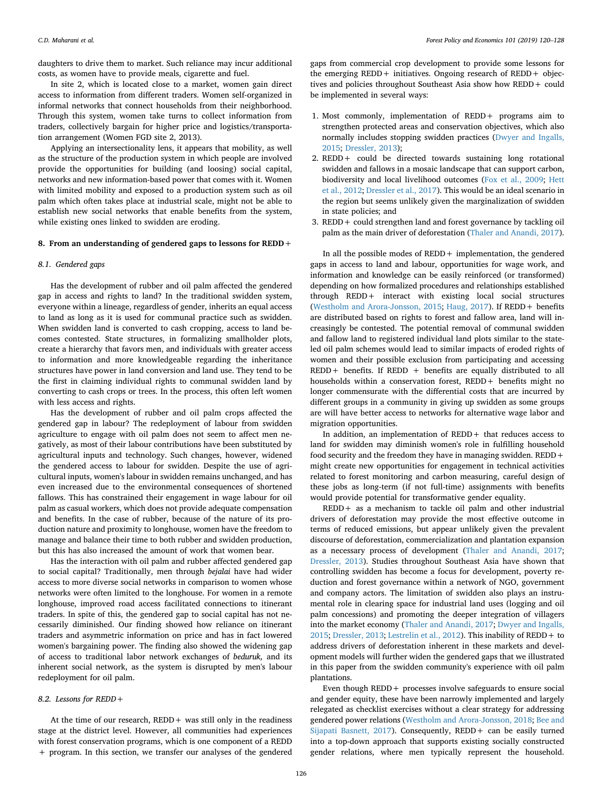daughters to drive them to market. Such reliance may incur additional costs, as women have to provide meals, cigarette and fuel.

In site 2, which is located close to a market, women gain direct access to information from different traders. Women self-organized in informal networks that connect households from their neighborhood. Through this system, women take turns to collect information from traders, collectively bargain for higher price and logistics/transportation arrangement (Women FGD site 2, 2013).

Applying an intersectionality lens, it appears that mobility, as well as the structure of the production system in which people are involved provide the opportunities for building (and loosing) social capital, networks and new information-based power that comes with it. Women with limited mobility and exposed to a production system such as oil palm which often takes place at industrial scale, might not be able to establish new social networks that enable benefits from the system, while existing ones linked to swidden are eroding.

## **8. From an understanding of gendered gaps to lessons for REDD+**

#### *8.1. Gendered gaps*

Has the development of rubber and oil palm affected the gendered gap in access and rights to land? In the traditional swidden system, everyone within a lineage, regardless of gender, inherits an equal access to land as long as it is used for communal practice such as swidden. When swidden land is converted to cash cropping, access to land becomes contested. State structures, in formalizing smallholder plots, create a hierarchy that favors men, and individuals with greater access to information and more knowledgeable regarding the inheritance structures have power in land conversion and land use. They tend to be the first in claiming individual rights to communal swidden land by converting to cash crops or trees. In the process, this often left women with less access and rights.

Has the development of rubber and oil palm crops affected the gendered gap in labour? The redeployment of labour from swidden agriculture to engage with oil palm does not seem to affect men negatively, as most of their labour contributions have been substituted by agricultural inputs and technology. Such changes, however, widened the gendered access to labour for swidden. Despite the use of agricultural inputs, women's labour in swidden remains unchanged, and has even increased due to the environmental consequences of shortened fallows. This has constrained their engagement in wage labour for oil palm as casual workers, which does not provide adequate compensation and benefits. In the case of rubber, because of the nature of its production nature and proximity to longhouse, women have the freedom to manage and balance their time to both rubber and swidden production, but this has also increased the amount of work that women bear.

Has the interaction with oil palm and rubber affected gendered gap to social capital? Traditionally, men through *bejalai* have had wider access to more diverse social networks in comparison to women whose networks were often limited to the longhouse. For women in a remote longhouse, improved road access facilitated connections to itinerant traders. In spite of this, the gendered gap to social capital has not necessarily diminished. Our finding showed how reliance on itinerant traders and asymmetric information on price and has in fact lowered women's bargaining power. The finding also showed the widening gap of access to traditional labor network exchanges of *beduruk,* and its inherent social network, as the system is disrupted by men's labour redeployment for oil palm.

#### *8.2. Lessons for REDD+*

At the time of our research,  $REDD +$  was still only in the readiness stage at the district level. However, all communities had experiences with forest conservation programs, which is one component of a REDD + program. In this section, we transfer our analyses of the gendered

gaps from commercial crop development to provide some lessons for the emerging REDD+ initiatives. Ongoing research of REDD+ objectives and policies throughout Southeast Asia show how REDD+ could be implemented in several ways:

- 1. Most commonly, implementation of REDD+ programs aim to strengthen protected areas and conservation objectives, which also normally includes stopping swidden practices [\(Dwyer and Ingalls,](#page-7-24) [2015](#page-7-24); [Dressler, 2013](#page-7-25));
- 2. REDD+ could be directed towards sustaining long rotational swidden and fallows in a mosaic landscape that can support carbon, biodiversity and local livelihood outcomes ([Fox et al., 2009;](#page-7-0) [Hett](#page-8-9) [et al., 2012;](#page-8-9) [Dressler et al., 2017\)](#page-7-2). This would be an ideal scenario in the region but seems unlikely given the marginalization of swidden in state policies; and
- 3. REDD+ could strengthen land and forest governance by tackling oil palm as the main driver of deforestation ([Thaler and Anandi, 2017](#page-8-41)).

In all the possible modes of  $REDD+$  implementation, the gendered gaps in access to land and labour, opportunities for wage work, and information and knowledge can be easily reinforced (or transformed) depending on how formalized procedures and relationships established through REDD+ interact with existing local social structures ([Westholm and Arora-Jonsson, 2015](#page-8-14); [Haug, 2017\)](#page-8-5). If REDD+ benefits are distributed based on rights to forest and fallow area, land will increasingly be contested. The potential removal of communal swidden and fallow land to registered individual land plots similar to the stateled oil palm schemes would lead to similar impacts of eroded rights of women and their possible exclusion from participating and accessing REDD+ benefits. If REDD + benefits are equally distributed to all households within a conservation forest, REDD+ benefits might no longer commensurate with the differential costs that are incurred by different groups in a community in giving up swidden as some groups are will have better access to networks for alternative wage labor and migration opportunities.

In addition, an implementation of REDD+ that reduces access to land for swidden may diminish women's role in fulfilling household food security and the freedom they have in managing swidden. REDD+ might create new opportunities for engagement in technical activities related to forest monitoring and carbon measuring, careful design of these jobs as long-term (if not full-time) assignments with benefits would provide potential for transformative gender equality.

REDD+ as a mechanism to tackle oil palm and other industrial drivers of deforestation may provide the most effective outcome in terms of reduced emissions, but appear unlikely given the prevalent discourse of deforestation, commercialization and plantation expansion as a necessary process of development [\(Thaler and Anandi, 2017](#page-8-41); [Dressler, 2013\)](#page-7-25). Studies throughout Southeast Asia have shown that controlling swidden has become a focus for development, poverty reduction and forest governance within a network of NGO, government and company actors. The limitation of swidden also plays an instrumental role in clearing space for industrial land uses (logging and oil palm concessions) and promoting the deeper integration of villagers into the market economy ([Thaler and Anandi, 2017;](#page-8-41) [Dwyer and Ingalls,](#page-7-24) [2015;](#page-7-24) [Dressler, 2013](#page-7-25); [Lestrelin et al., 2012](#page-8-42)). This inability of REDD+ to address drivers of deforestation inherent in these markets and development models will further widen the gendered gaps that we illustrated in this paper from the swidden community's experience with oil palm plantations.

Even though REDD+ processes involve safeguards to ensure social and gender equity, these have been narrowly implemented and largely relegated as checklist exercises without a clear strategy for addressing gendered power relations ([Westholm and Arora-Jonsson, 2018;](#page-8-19) [Bee and](#page-7-26) [Sijapati Basnett, 2017\)](#page-7-26). Consequently, REDD+ can be easily turned into a top-down approach that supports existing socially constructed gender relations, where men typically represent the household.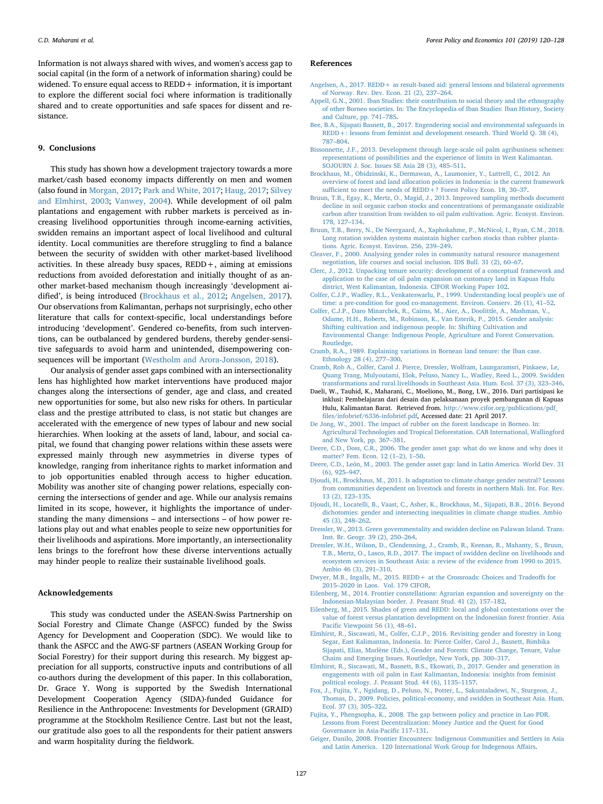Information is not always shared with wives, and women's access gap to social capital (in the form of a network of information sharing) could be widened. To ensure equal access to  $REDD +$  information, it is important to explore the different social foci where information is traditionally shared and to create opportunities and safe spaces for dissent and resistance.

#### **9. Conclusions**

This study has shown how a development trajectory towards a more market/cash based economy impacts differently on men and women (also found in [Morgan, 2017](#page-8-8); [Park and White, 2017](#page-8-43); [Haug, 2017](#page-8-5); [Silvey](#page-8-44) [and Elmhirst, 2003;](#page-8-44) [Vanwey, 2004\)](#page-8-45). While development of oil palm plantations and engagement with rubber markets is perceived as increasing livelihood opportunities through income-earning activities, swidden remains an important aspect of local livelihood and cultural identity. Local communities are therefore struggling to find a balance between the security of swidden with other market-based livelihood activities. In these already busy spaces, REDD+, aiming at emissions reductions from avoided deforestation and initially thought of as another market-based mechanism though increasingly 'development aidified', is being introduced [\(Brockhaus et al., 2012;](#page-7-27) [Angelsen, 2017](#page-7-28)). Our observations from Kalimantan, perhaps not surprisingly, echo other literature that calls for context-specific, local understandings before introducing 'development'. Gendered co-benefits, from such interventions, can be outbalanced by gendered burdens, thereby gender-sensitive safeguards to avoid harm and unintended, disempowering consequences will be important [\(Westholm and Arora-Jonsson, 2018](#page-8-19)).

Our analysis of gender asset gaps combined with an intersectionality lens has highlighted how market interventions have produced major changes along the intersections of gender, age and class, and created new opportunities for some, but also new risks for others. In particular class and the prestige attributed to class, is not static but changes are accelerated with the emergence of new types of labour and new social hierarchies. When looking at the assets of land, labour, and social capital, we found that changing power relations within these assets were expressed mainly through new asymmetries in diverse types of knowledge, ranging from inheritance rights to market information and to job opportunities enabled through access to higher education. Mobility was another site of changing power relations, especially concerning the intersections of gender and age. While our analysis remains limited in its scope, however, it highlights the importance of understanding the many dimensions – and intersections – of how power relations play out and what enables people to seize new opportunities for their livelihoods and aspirations. More importantly, an intersectionality lens brings to the forefront how these diverse interventions actually may hinder people to realize their sustainable livelihood goals.

#### **Acknowledgements**

This study was conducted under the ASEAN-Swiss Partnership on Social Forestry and Climate Change (ASFCC) funded by the Swiss Agency for Development and Cooperation (SDC). We would like to thank the ASFCC and the AWG-SF partners (ASEAN Working Group for Social Forestry) for their support during this research. My biggest appreciation for all supports, constructive inputs and contributions of all co-authors during the development of this paper. In this collaboration, Dr. Grace Y. Wong is supported by the Swedish International Development Cooperation Agency (SIDA)-funded Guidance for Resilience in the Anthropocene: Investments for Development (GRAID) programme at the Stockholm Resilience Centre. Last but not the least, our gratitude also goes to all the respondents for their patient answers and warm hospitality during the fieldwork.

#### **References**

- <span id="page-7-28"></span>Angelsen, A., 2017. REDD + as result-based aid: general lessons and bilateral agreements [of Norway. Rev. Dev. Econ. 21 \(2\), 237–264.](http://refhub.elsevier.com/S1389-9341(17)30506-3/rf0005)
- <span id="page-7-10"></span>[Appell, G.N., 2001. Iban Studies: their contribution to social theory and the ethnography](http://refhub.elsevier.com/S1389-9341(17)30506-3/rf0010) [of other Borneo societies. In: The Encyclopedia of Iban Studies: Iban History, Society](http://refhub.elsevier.com/S1389-9341(17)30506-3/rf0010) [and Culture, pp. 741–785.](http://refhub.elsevier.com/S1389-9341(17)30506-3/rf0010)
- <span id="page-7-26"></span>[Bee, B.A., Sijapati Basnett, B., 2017. Engendering social and environmental safeguards in](http://refhub.elsevier.com/S1389-9341(17)30506-3/rf0020) [REDD+: lessons from feminist and development research. Third World Q. 38 \(4\),](http://refhub.elsevier.com/S1389-9341(17)30506-3/rf0020) [787–804](http://refhub.elsevier.com/S1389-9341(17)30506-3/rf0020).
- <span id="page-7-19"></span>[Bissonnette, J.F., 2013. Development through large-scale oil palm agribusiness schemes:](http://refhub.elsevier.com/S1389-9341(17)30506-3/rf0025) [representations of possibilities and the experience of limits in West Kalimantan.](http://refhub.elsevier.com/S1389-9341(17)30506-3/rf0025) [SOJOURN J. Soc. Issues SE Asia 28 \(3\), 485–511.](http://refhub.elsevier.com/S1389-9341(17)30506-3/rf0025)
- <span id="page-7-27"></span>[Brockhaus, M., Obidzinski, K., Dermawan, A., Laumonier, Y., Luttrell, C., 2012. An](http://refhub.elsevier.com/S1389-9341(17)30506-3/rf0030) [overview of forest and land allocation policies in Indonesia: is the current framework](http://refhub.elsevier.com/S1389-9341(17)30506-3/rf0030) sufficient to meet the needs of REDD+? Forest Policy Econ. 18, 30-37.
- <span id="page-7-16"></span>[Bruun, T.B., Egay, K., Mertz, O., Magid, J., 2013. Improved sampling methods document](http://refhub.elsevier.com/S1389-9341(17)30506-3/rf0035) [decline in soil organic carbon stocks and concentrations of permanganate oxidizable](http://refhub.elsevier.com/S1389-9341(17)30506-3/rf0035) [carbon after transition from swidden to oil palm cultivation. Agric. Ecosyst. Environ.](http://refhub.elsevier.com/S1389-9341(17)30506-3/rf0035) [178, 127–134.](http://refhub.elsevier.com/S1389-9341(17)30506-3/rf0035)
- <span id="page-7-1"></span>[Bruun, T.B., Berry, N., De Neergaard, A., Xaphokahme, P., McNicol, I., Ryan, C.M., 2018.](http://refhub.elsevier.com/S1389-9341(17)30506-3/rf0040) [Long rotation swidden systems maintain higher carbon stocks than rubber planta](http://refhub.elsevier.com/S1389-9341(17)30506-3/rf0040)[tions. Agric. Ecosyst. Environ. 256, 239–249](http://refhub.elsevier.com/S1389-9341(17)30506-3/rf0040).
- <span id="page-7-6"></span>[Cleaver, F., 2000. Analysing gender roles in community natural resource management](http://refhub.elsevier.com/S1389-9341(17)30506-3/rf0050) [negotiation, life courses and social inclusion. IDS Bull. 31 \(2\), 60–67](http://refhub.elsevier.com/S1389-9341(17)30506-3/rf0050).
- <span id="page-7-20"></span>[Clerc, J., 2012. Unpacking tenure security: development of a conceptual framework and](http://refhub.elsevier.com/S1389-9341(17)30506-3/rf0055) [application to the case of oil palm expansion on customary land in Kapuas Hulu](http://refhub.elsevier.com/S1389-9341(17)30506-3/rf0055) [district, West Kalimantan, Indonesia. CIFOR Working Paper 102](http://refhub.elsevier.com/S1389-9341(17)30506-3/rf0055).
- <span id="page-7-23"></span>[Colfer, C.J.P., Wadley, R.L., Venkateswarlu, P., 1999. Understanding local people's use of](http://refhub.elsevier.com/S1389-9341(17)30506-3/rf0060) [time: a pre-condition for good co-management. Environ. Conserv. 26 \(1\), 41–52](http://refhub.elsevier.com/S1389-9341(17)30506-3/rf0060).
- <span id="page-7-22"></span>[Colfer, C.J.P., Daro Minarchek, R., Cairns, M., Aier, A., Doolittle, A., Mashman, V.,](http://refhub.elsevier.com/S1389-9341(17)30506-3/rf0065) [Odame, H.H., Roberts, M., Robinson, K., Van Esterik, P., 2015. Gender analysis:](http://refhub.elsevier.com/S1389-9341(17)30506-3/rf0065) [Shifting cultivation and indigenous people. In: Shifting Cultivation and](http://refhub.elsevier.com/S1389-9341(17)30506-3/rf0065) [Environmental Change: Indigenous People, Agriculture and Forest Conservation.](http://refhub.elsevier.com/S1389-9341(17)30506-3/rf0065) [Routledge](http://refhub.elsevier.com/S1389-9341(17)30506-3/rf0065).
- <span id="page-7-9"></span>[Cramb, R.A., 1989. Explaining variations in Bornean land tenure: the Iban case.](http://refhub.elsevier.com/S1389-9341(17)30506-3/rf0070) [Ethnology 28 \(4\), 277–300.](http://refhub.elsevier.com/S1389-9341(17)30506-3/rf0070)
- <span id="page-7-15"></span>[Cramb, Rob A., Colfer, Carol J. Pierce, Dressler, Wolfram, Laungaramsri, Pinkaew, Le,](http://refhub.elsevier.com/S1389-9341(17)30506-3/rf0075) [Quang Trang, Mulyoutami, Elok, Peluso, Nancy L., Wadley, Reed L., 2009. Swidden](http://refhub.elsevier.com/S1389-9341(17)30506-3/rf0075) [transformations and rural livelihoods in Southeast Asia. Hum. Ecol. 37 \(3\), 323–346.](http://refhub.elsevier.com/S1389-9341(17)30506-3/rf0075)
- <span id="page-7-14"></span>Daeli, W., Tauhid, K., Maharani, C., Moeliono, M., Bong, I.W., 2016. Dari partisipasi ke inklusi: Pembelajaran dari desain dan pelaksanaan proyek pembangunan di Kapuas Hulu, Kalimantan Barat. Retrieved from. [http://www.cifor.org/publications/pdf\\_](http://www.cifor.org/publications/pdf_files/infobrief/6336-infobrief.pdf) [files/infobrief/6336-infobrief.pdf](http://www.cifor.org/publications/pdf_files/infobrief/6336-infobrief.pdf), Accessed date: 21 April 2017.
- <span id="page-7-17"></span>[De Jong, W., 2001. The impact of rubber on the forest landscape in Borneo. In:](http://refhub.elsevier.com/S1389-9341(17)30506-3/rf0085) [Agricultural Technologies and Tropical Deforestation. CAB International, Wallingford](http://refhub.elsevier.com/S1389-9341(17)30506-3/rf0085) [and New York, pp. 367–381](http://refhub.elsevier.com/S1389-9341(17)30506-3/rf0085).
- <span id="page-7-5"></span>[Deere, C.D., Doss, C.R., 2006. The gender asset gap: what do we know and why does it](http://refhub.elsevier.com/S1389-9341(17)30506-3/rf0090) [matter? Fem. Econ. 12 \(1–2\), 1–50](http://refhub.elsevier.com/S1389-9341(17)30506-3/rf0090).
- <span id="page-7-4"></span>[Deere, C.D., León, M., 2003. The gender asset gap: land in Latin America. World Dev. 31](http://refhub.elsevier.com/S1389-9341(17)30506-3/rf0095) [\(6\), 925–947.](http://refhub.elsevier.com/S1389-9341(17)30506-3/rf0095)
- <span id="page-7-8"></span>[Djoudi, H., Brockhaus, M., 2011. Is adaptation to climate change gender neutral? Lessons](http://refhub.elsevier.com/S1389-9341(17)30506-3/rf0100) [from communities dependent on livestock and forests in northern Mali. Int. For. Rev.](http://refhub.elsevier.com/S1389-9341(17)30506-3/rf0100) [13 \(2\), 123–135.](http://refhub.elsevier.com/S1389-9341(17)30506-3/rf0100)
- <span id="page-7-7"></span>[Djoudi, H., Locatelli, B., Vaast, C., Asher, K., Brockhaus, M., Sijapati, B.B., 2016. Beyond](http://refhub.elsevier.com/S1389-9341(17)30506-3/rf0105) [dichotomies: gender and intersecting inequalities in climate change studies. Ambio](http://refhub.elsevier.com/S1389-9341(17)30506-3/rf0105) [45 \(3\), 248–262.](http://refhub.elsevier.com/S1389-9341(17)30506-3/rf0105)
- <span id="page-7-25"></span>[Dressler, W., 2013. Green governmentality and swidden decline on Palawan Island. Trans.](http://refhub.elsevier.com/S1389-9341(17)30506-3/rf0115) [Inst. Br. Geogr. 39 \(2\), 250–264](http://refhub.elsevier.com/S1389-9341(17)30506-3/rf0115).
- <span id="page-7-2"></span>[Dressler, W.H., Wilson, D., Clendenning, J., Cramb, R., Keenan, R., Mahanty, S., Bruun,](http://refhub.elsevier.com/S1389-9341(17)30506-3/rf0120) [T.B., Mertz, O., Lasco, R.D., 2017. The impact of swidden decline on livelihoods and](http://refhub.elsevier.com/S1389-9341(17)30506-3/rf0120) [ecosystem services in Southeast Asia: a review of the evidence from 1990 to 2015.](http://refhub.elsevier.com/S1389-9341(17)30506-3/rf0120) [Ambio 46 \(3\), 291–310.](http://refhub.elsevier.com/S1389-9341(17)30506-3/rf0120)
- <span id="page-7-24"></span>[Dwyer, M.B., Ingalls, M., 2015. REDD+ at the Crossroads: Choices and Tradeoffs for](http://refhub.elsevier.com/S1389-9341(17)30506-3/rf0125) [2015–2020 in Laos. Vol. 179 CIFOR.](http://refhub.elsevier.com/S1389-9341(17)30506-3/rf0125)
- <span id="page-7-12"></span>[Eilenberg, M., 2014. Frontier constellations: Agrarian expansion and sovereignty on the](http://refhub.elsevier.com/S1389-9341(17)30506-3/rf0130) [Indonesian-Malaysian border. J. Peasant Stud. 41 \(2\), 157–182.](http://refhub.elsevier.com/S1389-9341(17)30506-3/rf0130)
- <span id="page-7-11"></span>[Eilenberg, M., 2015. Shades of green and REDD: local and global contestations over the](http://refhub.elsevier.com/S1389-9341(17)30506-3/rf0135) [value of forest versus plantation development on the Indonesian forest frontier. Asia](http://refhub.elsevier.com/S1389-9341(17)30506-3/rf0135) [Pacific Viewpoint 56 \(1\), 48–61.](http://refhub.elsevier.com/S1389-9341(17)30506-3/rf0135)
- <span id="page-7-21"></span>[Elmhirst, R., Siscawati, M., Colfer, C.J.P., 2016. Revisiting gender and forestry in Long](http://refhub.elsevier.com/S1389-9341(17)30506-3/rf0140) [Segar, East Kalimantan, Indonesia. In: Pierce Colfer, Carol J., Basnett, Bimbika](http://refhub.elsevier.com/S1389-9341(17)30506-3/rf0140) [Sijapati, Elias, Marlène \(Eds.\), Gender and Forests: Climate Change, Tenure, Value](http://refhub.elsevier.com/S1389-9341(17)30506-3/rf0140) [Chains and Emerging Issues. Routledge, New York, pp. 300–317](http://refhub.elsevier.com/S1389-9341(17)30506-3/rf0140).
- <span id="page-7-3"></span>[Elmhirst, R., Siscawati, M., Basnett, B.S., Ekowati, D., 2017. Gender and generation in](http://refhub.elsevier.com/S1389-9341(17)30506-3/rf0145) [engagements with oil palm in East Kalimantan, Indonesia: insights from feminist](http://refhub.elsevier.com/S1389-9341(17)30506-3/rf0145) [political ecology. J. Peasant Stud. 44 \(6\), 1135–1157](http://refhub.elsevier.com/S1389-9341(17)30506-3/rf0145).
- <span id="page-7-0"></span>[Fox, J., Fujita, Y., Ngidang, D., Peluso, N., Potter, L., Sakuntaladewi, N., Sturgeon, J.,](http://refhub.elsevier.com/S1389-9341(17)30506-3/rf0150) [Thomas, D., 2009. Policies, political-economy, and swidden in Southeast Asia. Hum.](http://refhub.elsevier.com/S1389-9341(17)30506-3/rf0150) [Ecol. 37 \(3\), 305–322.](http://refhub.elsevier.com/S1389-9341(17)30506-3/rf0150)
- <span id="page-7-18"></span>[Fujita, Y., Phengsopha, K., 2008. The gap between policy and practice in Lao PDR.](http://refhub.elsevier.com/S1389-9341(17)30506-3/rf0155) [Lessons from Forest Decentralization: Money Justice and the Quest for Good](http://refhub.elsevier.com/S1389-9341(17)30506-3/rf0155) [Governance in Asia-Pacific 117–131.](http://refhub.elsevier.com/S1389-9341(17)30506-3/rf0155)
- <span id="page-7-13"></span>[Geiger, Danilo, 2008. Frontier Encounters: Indigenous Communities and Settlers in Asia](http://refhub.elsevier.com/S1389-9341(17)30506-3/rf0160) [and Latin America. 120 International Work Group for Indegenous Affairs](http://refhub.elsevier.com/S1389-9341(17)30506-3/rf0160).